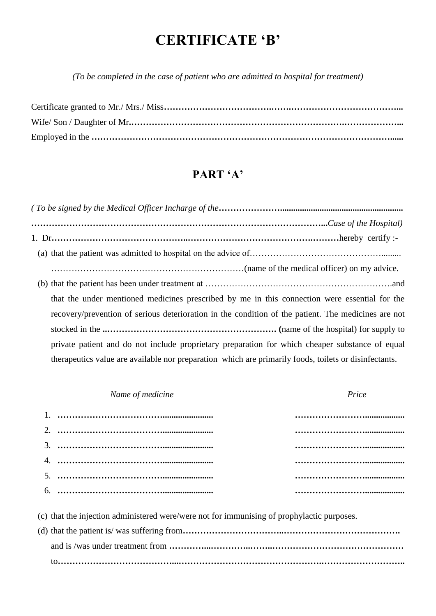## **CERTIFICATE 'B'**

*(To be completed in the case of patient who are admitted to hospital for treatment)*

## **PART 'A'**

*( To be signed by the Medical Officer Incharge of the***…………………........................................................ ………………………………………………………………………………………...***Case of the Hospital)* 1. Dr**………………………………………..…………………………………….………**hereby certify :- (a) that the patient was admitted to hospital on the advice of………………………………………......... …………………………………………………………(name of the medical officer) on my advice. (b) that the patient has been under treatment at ……………………………………………………….and that the under mentioned medicines prescribed by me in this connection were essential for the recovery/prevention of serious deterioration in the condition of the patient. The medicines are not stocked in the **..…………………………………………………. (**name of the hospital) for supply to private patient and do not include proprietary preparation for which cheaper substance of equal therapeutics value are available nor preparation which are primarily foods, toilets or disinfectants.

| Name of medicine | Price |
|------------------|-------|
|                  |       |
|                  |       |
|                  |       |
|                  |       |
|                  |       |
|                  |       |

(c) that the injection administered were/were not for immunising of prophylactic purposes.